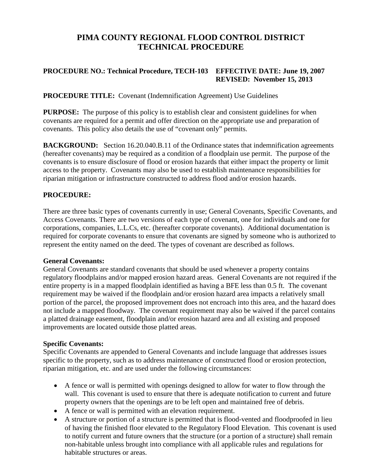# **PIMA COUNTY REGIONAL FLOOD CONTROL DISTRICT TECHNICAL PROCEDURE**

# **PROCEDURE NO.: Technical Procedure, TECH-103 EFFECTIVE DATE: June 19, 2007 REVISED: November 15, 2013**

## **PROCEDURE TITLE:** Covenant (Indemnification Agreement) Use Guidelines

**PURPOSE:** The purpose of this policy is to establish clear and consistent guidelines for when covenants are required for a permit and offer direction on the appropriate use and preparation of covenants. This policy also details the use of "covenant only" permits.

**BACKGROUND:** Section 16.20.040.B.11 of the Ordinance states that indemnification agreements (hereafter covenants) may be required as a condition of a floodplain use permit. The purpose of the covenants is to ensure disclosure of flood or erosion hazards that either impact the property or limit access to the property. Covenants may also be used to establish maintenance responsibilities for riparian mitigation or infrastructure constructed to address flood and/or erosion hazards.

### **PROCEDURE:**

There are three basic types of covenants currently in use; General Covenants, Specific Covenants, and Access Covenants. There are two versions of each type of covenant, one for individuals and one for corporations, companies, L.L.Cs, etc. (hereafter corporate covenants). Additional documentation is required for corporate covenants to ensure that covenants are signed by someone who is authorized to represent the entity named on the deed. The types of covenant are described as follows.

### **General Covenants:**

General Covenants are standard covenants that should be used whenever a property contains regulatory floodplains and/or mapped erosion hazard areas. General Covenants are not required if the entire property is in a mapped floodplain identified as having a BFE less than 0.5 ft. The covenant requirement may be waived if the floodplain and/or erosion hazard area impacts a relatively small portion of the parcel, the proposed improvement does not encroach into this area, and the hazard does not include a mapped floodway. The covenant requirement may also be waived if the parcel contains a platted drainage easement, floodplain and/or erosion hazard area and all existing and proposed improvements are located outside those platted areas.

### **Specific Covenants:**

Specific Covenants are appended to General Covenants and include language that addresses issues specific to the property, such as to address maintenance of constructed flood or erosion protection, riparian mitigation, etc. and are used under the following circumstances:

- A fence or wall is permitted with openings designed to allow for water to flow through the wall. This covenant is used to ensure that there is adequate notification to current and future property owners that the openings are to be left open and maintained free of debris.
- A fence or wall is permitted with an elevation requirement.
- A structure or portion of a structure is permitted that is flood-vented and floodproofed in lieu of having the finished floor elevated to the Regulatory Flood Elevation. This covenant is used to notify current and future owners that the structure (or a portion of a structure) shall remain non-habitable unless brought into compliance with all applicable rules and regulations for habitable structures or areas.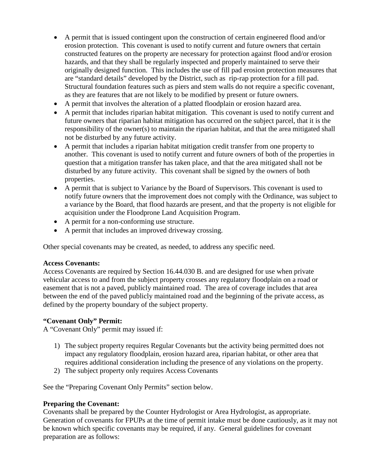- A permit that is issued contingent upon the construction of certain engineered flood and/or erosion protection. This covenant is used to notify current and future owners that certain constructed features on the property are necessary for protection against flood and/or erosion hazards, and that they shall be regularly inspected and properly maintained to serve their originally designed function. This includes the use of fill pad erosion protection measures that are "standard details" developed by the District, such as rip-rap protection for a fill pad. Structural foundation features such as piers and stem walls do not require a specific covenant, as they are features that are not likely to be modified by present or future owners.
- A permit that involves the alteration of a platted floodplain or erosion hazard area.
- A permit that includes riparian habitat mitigation. This covenant is used to notify current and future owners that riparian habitat mitigation has occurred on the subject parcel, that it is the responsibility of the owner(s) to maintain the riparian habitat, and that the area mitigated shall not be disturbed by any future activity.
- A permit that includes a riparian habitat mitigation credit transfer from one property to another. This covenant is used to notify current and future owners of both of the properties in question that a mitigation transfer has taken place, and that the area mitigated shall not be disturbed by any future activity. This covenant shall be signed by the owners of both properties.
- A permit that is subject to Variance by the Board of Supervisors. This covenant is used to notify future owners that the improvement does not comply with the Ordinance, was subject to a variance by the Board, that flood hazards are present, and that the property is not eligible for acquisition under the Floodprone Land Acquisition Program.
- A permit for a non-conforming use structure.
- A permit that includes an improved driveway crossing.

Other special covenants may be created, as needed, to address any specific need.

### **Access Covenants:**

Access Covenants are required by Section 16.44.030 B. and are designed for use when private vehicular access to and from the subject property crosses any regulatory floodplain on a road or easement that is not a paved, publicly maintained road. The area of coverage includes that area between the end of the paved publicly maintained road and the beginning of the private access, as defined by the property boundary of the subject property.

### **"Covenant Only" Permit:**

A "Covenant Only" permit may issued if:

- 1) The subject property requires Regular Covenants but the activity being permitted does not impact any regulatory floodplain, erosion hazard area, riparian habitat, or other area that requires additional consideration including the presence of any violations on the property.
- 2) The subject property only requires Access Covenants

See the "Preparing Covenant Only Permits" section below.

### **Preparing the Covenant:**

Covenants shall be prepared by the Counter Hydrologist or Area Hydrologist, as appropriate. Generation of covenants for FPUPs at the time of permit intake must be done cautiously, as it may not be known which specific covenants may be required, if any. General guidelines for covenant preparation are as follows: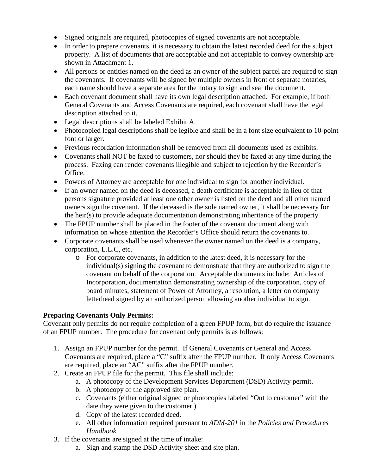- Signed originals are required, photocopies of signed covenants are not acceptable.
- In order to prepare covenants, it is necessary to obtain the latest recorded deed for the subject property. A list of documents that are acceptable and not acceptable to convey ownership are shown in Attachment 1.
- All persons or entities named on the deed as an owner of the subject parcel are required to sign the covenants. If covenants will be signed by multiple owners in front of separate notaries, each name should have a separate area for the notary to sign and seal the document.
- Each covenant document shall have its own legal description attached. For example, if both General Covenants and Access Covenants are required, each covenant shall have the legal description attached to it.
- Legal descriptions shall be labeled Exhibit A.
- Photocopied legal descriptions shall be legible and shall be in a font size equivalent to 10-point font or larger.
- Previous recordation information shall be removed from all documents used as exhibits.
- Covenants shall NOT be faxed to customers, nor should they be faxed at any time during the process. Faxing can render covenants illegible and subject to rejection by the Recorder's Office.
- Powers of Attorney are acceptable for one individual to sign for another individual.
- If an owner named on the deed is deceased, a death certificate is acceptable in lieu of that persons signature provided at least one other owner is listed on the deed and all other named owners sign the covenant. If the deceased is the sole named owner, it shall be necessary for the heir(s) to provide adequate documentation demonstrating inheritance of the property.
- The FPUP number shall be placed in the footer of the covenant document along with information on whose attention the Recorder's Office should return the covenants to.
- Corporate covenants shall be used whenever the owner named on the deed is a company, corporation, L.L.C, etc.
	- o For corporate covenants, in addition to the latest deed, it is necessary for the individual(s) signing the covenant to demonstrate that they are authorized to sign the covenant on behalf of the corporation. Acceptable documents include: Articles of Incorporation, documentation demonstrating ownership of the corporation, copy of board minutes, statement of Power of Attorney, a resolution, a letter on company letterhead signed by an authorized person allowing another individual to sign.

# **Preparing Covenants Only Permits:**

Covenant only permits do not require completion of a green FPUP form, but do require the issuance of an FPUP number. The procedure for covenant only permits is as follows:

- 1. Assign an FPUP number for the permit. If General Covenants or General and Access Covenants are required, place a "C" suffix after the FPUP number. If only Access Covenants are required, place an "AC" suffix after the FPUP number.
- 2. Create an FPUP file for the permit. This file shall include:
	- a. A photocopy of the Development Services Department (DSD) Activity permit.
	- b. A photocopy of the approved site plan.
	- c. Covenants (either original signed or photocopies labeled "Out to customer" with the date they were given to the customer.)
	- d. Copy of the latest recorded deed.
	- e. All other information required pursuant to *ADM-201* in the *Policies and Procedures Handbook*
- 3. If the covenants are signed at the time of intake:
	- a. Sign and stamp the DSD Activity sheet and site plan.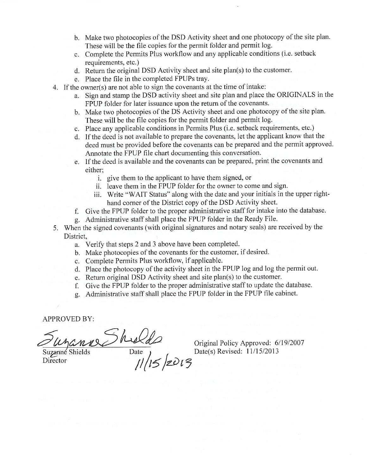- b. Make two photocopies of the DSD Activity sheet and one photocopy of the site plan. These will be the file copies for the permit folder and permit log.
- c. Complete the Permits Plus workflow and any applicable conditions (i.e. setback requirements, etc.)
- d. Return the original DSD Activity sheet and site plan(s) to the customer.
- e. Place the file in the completed FPUPs tray.
- 4. If the owner(s) are not able to sign the covenants at the time of intake:
	- a. Sign and stamp the DSD activity sheet and site plan and place the ORIGINALS in the FPUP folder for later issuance upon the return of the covenants.
	- b. Make two photocopies of the DS Activity sheet and one photocopy of the site plan. These will be the file copies for the permit folder and permit log.
	- c. Place any applicable conditions in Permits Plus (i.e. setback requirements, etc.)
	- d. If the deed is not available to prepare the covenants, let the applicant know that the deed must be provided before the covenants can be prepared and the permit approved. Annotate the FPUP file chart documenting this conversation.
	- e. If the deed is available and the covenants can be prepared, print the covenants and either:
		- i. give them to the applicant to have them signed, or
		- ii. leave them in the FPUP folder for the owner to come and sign.
		- iii. Write "WAIT Status" along with the date and your initials in the upper righthand corner of the District copy of the DSD Activity sheet.
	- f. Give the FPUP folder to the proper administrative staff for intake into the database.
	- g. Administrative staff shall place the FPUP folder in the Ready File.
- 5. When the signed covenants (with original signatures and notary seals) are received by the District.
	- a. Verify that steps 2 and 3 above have been completed.
	- b. Make photocopies of the covenants for the customer, if desired.
	- c. Complete Permits Plus workflow, if applicable.
	- d. Place the photocopy of the activity sheet in the FPUP log and log the permit out.
	- e. Return original DSD Activity sheet and site plan(s) to the customer.
	- f. Give the FPUP folder to the proper administrative staff to update the database.
	- g. Administrative staff shall place the FPUP folder in the FPUP file cabinet.

**APPROVED BY:** 

Suzanne Shields Director

 $\frac{1}{\frac{\text{Date}}{\text{Date}}}}$ 

Original Policy Approved: 6/19/2007 Date(s) Revised: 11/15/2013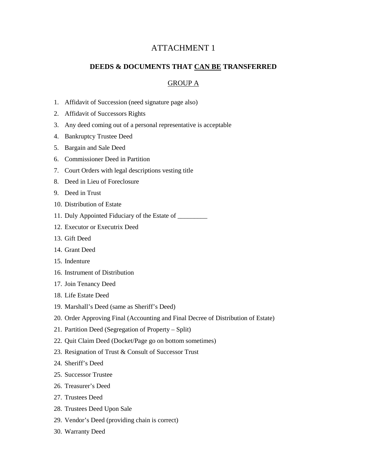# ATTACHMENT 1

#### **DEEDS & DOCUMENTS THAT CAN BE TRANSFERRED**

#### GROUP A

- 1. Affidavit of Succession (need signature page also)
- 2. Affidavit of Successors Rights
- 3. Any deed coming out of a personal representative is acceptable
- 4. Bankruptcy Trustee Deed
- 5. Bargain and Sale Deed
- 6. Commissioner Deed in Partition
- 7. Court Orders with legal descriptions vesting title
- 8. Deed in Lieu of Foreclosure
- 9. Deed in Trust
- 10. Distribution of Estate
- 11. Duly Appointed Fiduciary of the Estate of \_\_\_\_\_\_\_\_\_
- 12. Executor or Executrix Deed
- 13. Gift Deed
- 14. Grant Deed
- 15. Indenture
- 16. Instrument of Distribution
- 17. Join Tenancy Deed
- 18. Life Estate Deed
- 19. Marshall's Deed (same as Sheriff's Deed)
- 20. Order Approving Final (Accounting and Final Decree of Distribution of Estate)
- 21. Partition Deed (Segregation of Property Split)
- 22. Quit Claim Deed (Docket/Page go on bottom sometimes)
- 23. Resignation of Trust & Consult of Successor Trust
- 24. Sheriff's Deed
- 25. Successor Trustee
- 26. Treasurer's Deed
- 27. Trustees Deed
- 28. Trustees Deed Upon Sale
- 29. Vendor's Deed (providing chain is correct)
- 30. Warranty Deed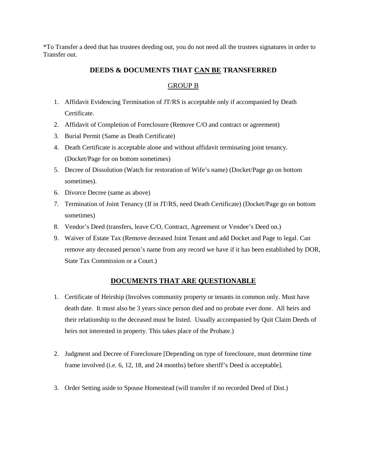\*To Transfer a deed that has trustees deeding out, you do not need all the trustees signatures in order to Transfer out.

### **DEEDS & DOCUMENTS THAT CAN BE TRANSFERRED**

### GROUP B

- 1. Affidavit Evidencing Termination of JT/RS is acceptable only if accompanied by Death Certificate.
- 2. Affidavit of Completion of Foreclosure (Remove C/O and contract or agreement)
- 3. Burial Permit (Same as Death Certificate)
- 4. Death Certificate is acceptable alone and without affidavit terminating joint tenancy. (Docket/Page for on bottom sometimes)
- 5. Decree of Dissolution (Watch for restoration of Wife's name) (Docket/Page go on bottom sometimes).
- 6. Divorce Decree (same as above)
- 7. Termination of Joint Tenancy (If in JT/RS, need Death Certificate) (Docket/Page go on bottom sometimes)
- 8. Vendor's Deed (transfers, leave C/O, Contract, Agreement or Vendee's Deed on.)
- 9. Waiver of Estate Tax (Remove deceased Joint Tenant and add Docket and Page to legal. Can remove any deceased person's name from any record we have if it has been established by DOR, State Tax Commission or a Court.)

### **DOCUMENTS THAT ARE QUESTIONABLE**

- 1. Certificate of Heirship (Involves community property or tenants in common only. Must have death date. It must also be 3 years since person died and no probate ever done. All heirs and their relationship to the deceased must be listed. Usually accompanied by Quit Claim Deeds of heirs not interested in property. This takes place of the Probate.)
- 2. Judgment and Decree of Foreclosure [Depending on type of foreclosure, must determine time frame involved (i.e. 6, 12, 18, and 24 months) before sheriff's Deed is acceptable].
- 3. Order Setting aside to Spouse Homestead (will transfer if no recorded Deed of Dist.)